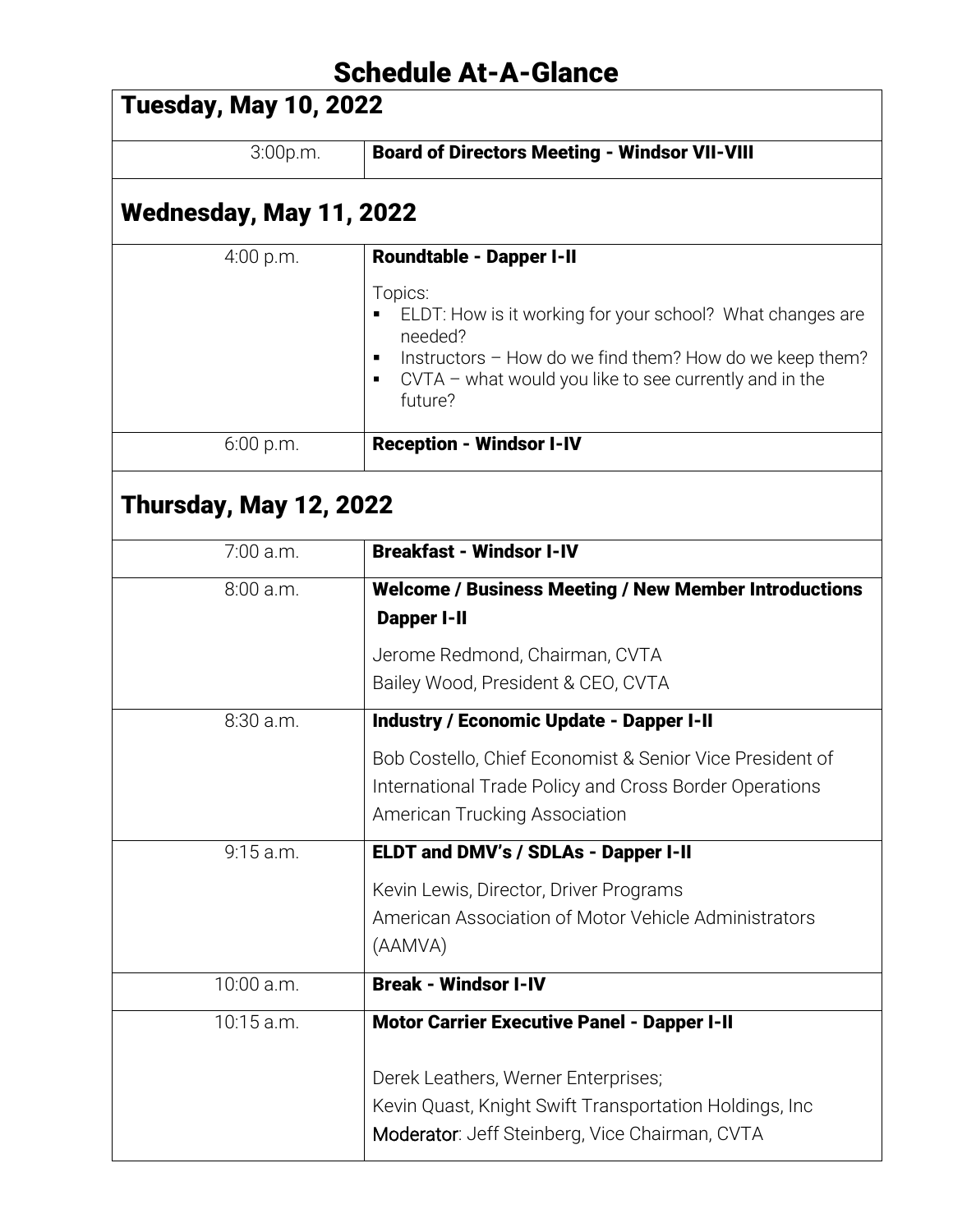## Schedule At-A-Glance

| <b>Tuesday, May 10, 2022</b>  |                                                                                                                                                                                                                        |
|-------------------------------|------------------------------------------------------------------------------------------------------------------------------------------------------------------------------------------------------------------------|
| 3:00p.m.                      | <b>Board of Directors Meeting - Windsor VII-VIII</b>                                                                                                                                                                   |
| Wednesday, May 11, 2022       |                                                                                                                                                                                                                        |
| 4:00 p.m.                     | <b>Roundtable - Dapper I-II</b>                                                                                                                                                                                        |
|                               | Topics:<br>ELDT: How is it working for your school? What changes are<br>needed?<br>Instructors - How do we find them? How do we keep them?<br>٠<br>$CVTA$ – what would you like to see currently and in the<br>future? |
| $6:00$ p.m.                   | <b>Reception - Windsor I-IV</b>                                                                                                                                                                                        |
| <b>Thursday, May 12, 2022</b> |                                                                                                                                                                                                                        |
| 7:00 a.m.                     | <b>Breakfast - Windsor I-IV</b>                                                                                                                                                                                        |
| 8:00 a.m.                     | <b>Welcome / Business Meeting / New Member Introductions</b><br><b>Dapper I-II</b>                                                                                                                                     |
|                               | Jerome Redmond, Chairman, CVTA<br>Bailey Wood, President & CEO, CVTA                                                                                                                                                   |
| 8:30 a.m.                     | <b>Industry / Economic Update - Dapper I-II</b>                                                                                                                                                                        |
|                               | Bob Costello, Chief Economist & Senior Vice President of<br>International Trade Policy and Cross Border Operations<br>American Trucking Association                                                                    |
| $9:15$ a.m.                   | ELDT and DMV's / SDLAs - Dapper I-II                                                                                                                                                                                   |
|                               | Kevin Lewis, Director, Driver Programs<br>American Association of Motor Vehicle Administrators<br>(AAMVA)                                                                                                              |
| 10:00 a.m.                    | <b>Break - Windsor I-IV</b>                                                                                                                                                                                            |
| 10:15 a.m.                    | <b>Motor Carrier Executive Panel - Dapper I-II</b>                                                                                                                                                                     |
|                               | Derek Leathers, Werner Enterprises;<br>Kevin Quast, Knight Swift Transportation Holdings, Inc.<br>Moderator: Jeff Steinberg, Vice Chairman, CVTA                                                                       |